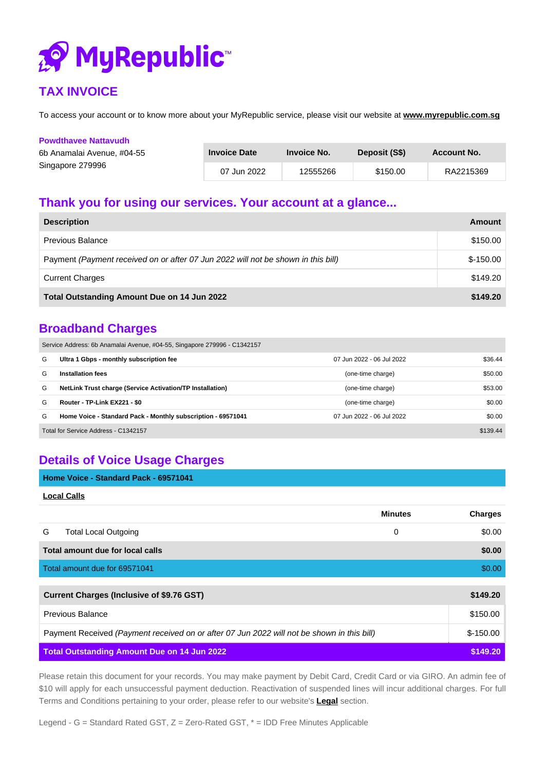

## **TAX INVOICE**

To access your account or to know more about your MyRepublic service, please visit our website at **[www.myrepublic.com.sg](http://www.myrepublic.com.sg/)**

| <b>Powdthavee Nattavudh</b> |                     |             |               |             |
|-----------------------------|---------------------|-------------|---------------|-------------|
| 6b Anamalai Avenue, #04-55  | <b>Invoice Date</b> | Invoice No. | Deposit (S\$) | Account No. |
| Singapore 279996            | 07 Jun 2022         | 12555266    | \$150.00      | RA2215369   |

## **Thank you for using our services. Your account at a glance...**

| <b>Description</b>                                                                | Amount     |
|-----------------------------------------------------------------------------------|------------|
| Previous Balance                                                                  | \$150.00   |
| Payment (Payment received on or after 07 Jun 2022 will not be shown in this bill) | $$-150.00$ |
| <b>Current Charges</b>                                                            | \$149.20   |
| Total Outstanding Amount Due on 14 Jun 2022                                       | \$149.20   |

### **Broadband Charges**

Service Address: 6b Anamalai Avenue, #04-55, Singapore 279996 - C1342157

| G                                    | Ultra 1 Gbps - monthly subscription fee                          | 07 Jun 2022 - 06 Jul 2022 | \$36.44  |
|--------------------------------------|------------------------------------------------------------------|---------------------------|----------|
| G                                    | Installation fees                                                | (one-time charge)         | \$50.00  |
| G                                    | <b>NetLink Trust charge (Service Activation/TP Installation)</b> | (one-time charge)         | \$53.00  |
| G                                    | Router - TP-Link EX221 - \$0                                     | (one-time charge)         | \$0.00   |
| G                                    | Home Voice - Standard Pack - Monthly subscription - 69571041     | 07 Jun 2022 - 06 Jul 2022 | \$0.00   |
| Total for Service Address - C1342157 |                                                                  |                           | \$139.44 |

# **Details of Voice Usage Charges**

| Home Voice - Standard Pack - 69571041 |  |
|---------------------------------------|--|
|---------------------------------------|--|

| ocal Calls |  |
|------------|--|
|            |  |

|   |                                                                                            | <b>Minutes</b> | <b>Charges</b> |
|---|--------------------------------------------------------------------------------------------|----------------|----------------|
| G | <b>Total Local Outgoing</b>                                                                | 0              | \$0.00         |
|   | Total amount due for local calls                                                           |                | \$0.00         |
|   | Total amount due for 69571041                                                              |                | \$0.00         |
|   |                                                                                            |                |                |
|   | <b>Current Charges (Inclusive of \$9.76 GST)</b>                                           |                | \$149.20       |
|   | Previous Balance                                                                           |                | \$150.00       |
|   | Payment Received (Payment received on or after 07 Jun 2022 will not be shown in this bill) |                | $$-150.00$     |
|   | <b>Total Outstanding Amount Due on 14 Jun 2022</b>                                         |                | \$149.20       |

Please retain this document for your records. You may make payment by Debit Card, Credit Card or via GIRO. An admin fee of \$10 will apply for each unsuccessful payment deduction. Reactivation of suspended lines will incur additional charges. For full Terms and Conditions pertaining to your order, please refer to our website's **[Legal](https://myrepublic.net/sg/legal/general/)** section.

Legend - G = Standard Rated GST,  $Z$  = Zero-Rated GST,  $*$  = IDD Free Minutes Applicable